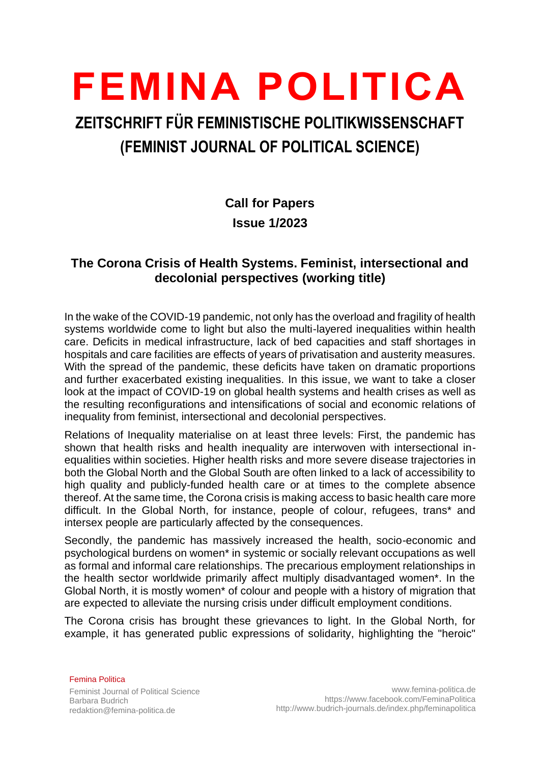# **FEMINA POLITICA**

# **ZEITSCHRIFT FÜR FEMINISTISCHE POLITIKWISSENSCHAFT (FEMINIST JOURNAL OF POLITICAL SCIENCE)**

# **Call for Papers Issue 1/2023**

## **The Corona Crisis of Health Systems. Feminist, intersectional and decolonial perspectives (working title)**

In the wake of the COVID-19 pandemic, not only has the overload and fragility of health systems worldwide come to light but also the multi-layered inequalities within health care. Deficits in medical infrastructure, lack of bed capacities and staff shortages in hospitals and care facilities are effects of years of privatisation and austerity measures. With the spread of the pandemic, these deficits have taken on dramatic proportions and further exacerbated existing inequalities. In this issue, we want to take a closer look at the impact of COVID-19 on global health systems and health crises as well as the resulting reconfigurations and intensifications of social and economic relations of inequality from feminist, intersectional and decolonial perspectives.

Relations of Inequality materialise on at least three levels: First, the pandemic has shown that health risks and health inequality are interwoven with intersectional inequalities within societies. Higher health risks and more severe disease trajectories in both the Global North and the Global South are often linked to a lack of accessibility to high quality and publicly-funded health care or at times to the complete absence thereof. At the same time, the Corona crisis is making access to basic health care more difficult. In the Global North, for instance, people of colour, refugees, trans\* and intersex people are particularly affected by the consequences.

Secondly, the pandemic has massively increased the health, socio-economic and psychological burdens on women\* in systemic or socially relevant occupations as well as formal and informal care relationships. The precarious employment relationships in the health sector worldwide primarily affect multiply disadvantaged women\*. In the Global North, it is mostly women\* of colour and people with a history of migration that are expected to alleviate the nursing crisis under difficult employment conditions.

The Corona crisis has brought these grievances to light. In the Global North, for example, it has generated public expressions of solidarity, highlighting the "heroic"

Femina Politica Feminist Journal of Political Science Barbara Budrich redaktion@femina-politica.de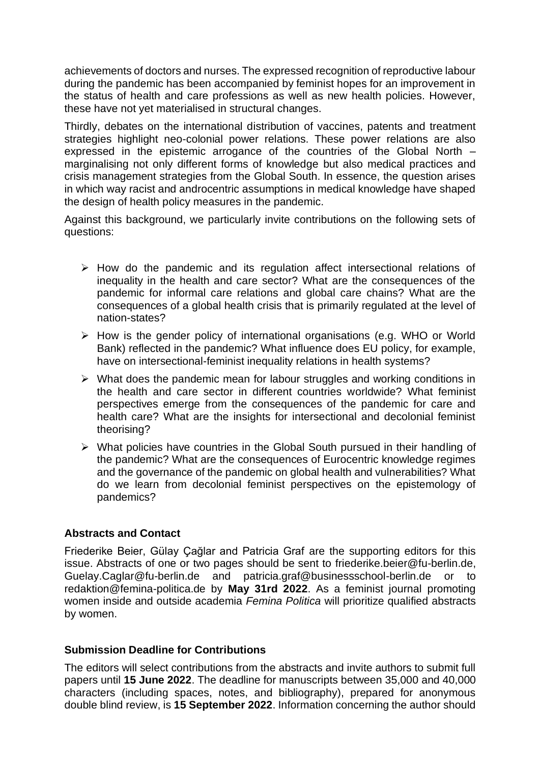achievements of doctors and nurses. The expressed recognition of reproductive labour during the pandemic has been accompanied by feminist hopes for an improvement in the status of health and care professions as well as new health policies. However, these have not yet materialised in structural changes.

Thirdly, debates on the international distribution of vaccines, patents and treatment strategies highlight neo-colonial power relations. These power relations are also expressed in the epistemic arrogance of the countries of the Global North – marginalising not only different forms of knowledge but also medical practices and crisis management strategies from the Global South. In essence, the question arises in which way racist and androcentric assumptions in medical knowledge have shaped the design of health policy measures in the pandemic.

Against this background, we particularly invite contributions on the following sets of questions:

- ➢ How do the pandemic and its regulation affect intersectional relations of inequality in the health and care sector? What are the consequences of the pandemic for informal care relations and global care chains? What are the consequences of a global health crisis that is primarily regulated at the level of nation-states?
- ➢ How is the gender policy of international organisations (e.g. WHO or World Bank) reflected in the pandemic? What influence does EU policy, for example, have on intersectional-feminist inequality relations in health systems?
- ➢ What does the pandemic mean for labour struggles and working conditions in the health and care sector in different countries worldwide? What feminist perspectives emerge from the consequences of the pandemic for care and health care? What are the insights for intersectional and decolonial feminist theorising?
- ➢ What policies have countries in the Global South pursued in their handling of the pandemic? What are the consequences of Eurocentric knowledge regimes and the governance of the pandemic on global health and vulnerabilities? What do we learn from decolonial feminist perspectives on the epistemology of pandemics?

#### **Abstracts and Contact**

Friederike Beier, Gülay Çağlar and Patricia Graf are the supporting editors for this issue. Abstracts of one or two pages should be sent to friederike.beier@fu-berlin.de, Guelay.Caglar@fu-berlin.de and patricia.graf@businessschool-berlin.de or to redaktion@femina-politica.de by **May 31rd 2022**. As a feminist journal promoting women inside and outside academia *Femina Politica* will prioritize qualified abstracts by women.

#### **Submission Deadline for Contributions**

The editors will select contributions from the abstracts and invite authors to submit full papers until **15 June 2022**. The deadline for manuscripts between 35,000 and 40,000 characters (including spaces, notes, and bibliography), prepared for anonymous double blind review, is **15 September 2022**. Information concerning the author should